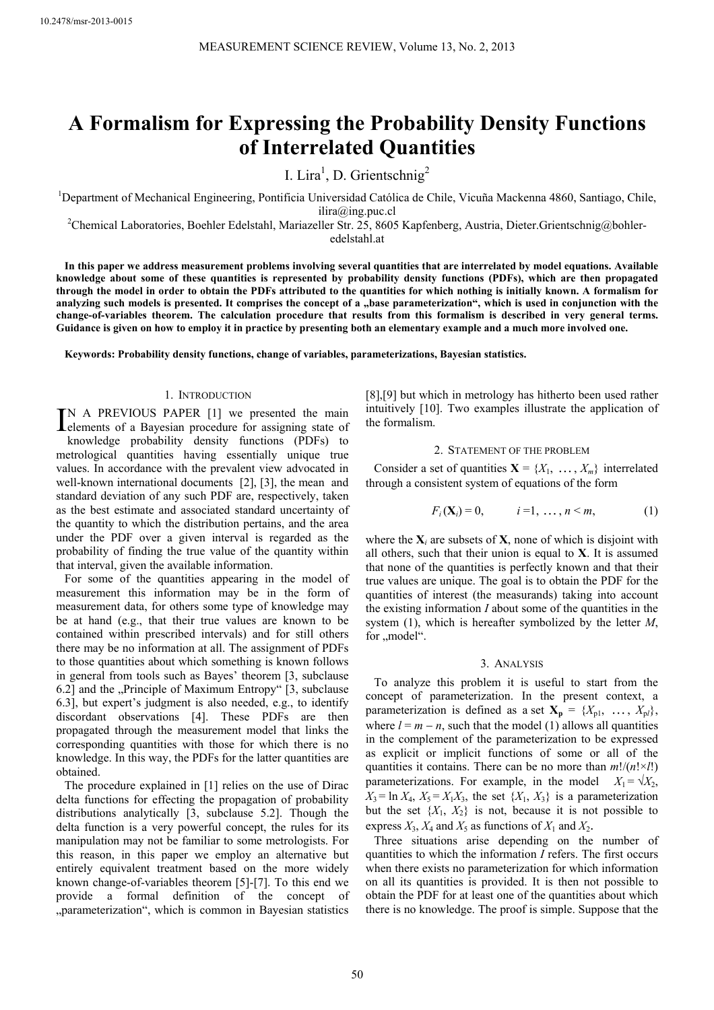# **A Formalism for Expressing the Probability Density Functions of Interrelated Quantities**

I. Lira<sup>1</sup>, D. Grientschnig<sup>2</sup>

<sup>1</sup>Department of Mechanical Engineering, Pontificia Universidad Católica de Chile, Vicuña Mackenna 4860, Santiago, Chile,

ilira@ing.puc.cl<br><sup>2</sup>Chemical Laboratories, Boehler Edelstahl, Mariazeller Str. 25, 8605 Kapfenberg, Austria, Dieter.Grientschnig@bohleredelstahl.at

**In this paper we address measurement problems involving several quantities that are interrelated by model equations. Available knowledge about some of these quantities is represented by probability density functions (PDFs), which are then propagated through the model in order to obtain the PDFs attributed to the quantities for which nothing is initially known. A formalism for**  analyzing such models is presented. It comprises the concept of a "base parameterization", which is used in conjunction with the **change-of-variables theorem. The calculation procedure that results from this formalism is described in very general terms. Guidance is given on how to employ it in practice by presenting both an elementary example and a much more involved one.** 

**Keywords: Probability density functions, change of variables, parameterizations, Bayesian statistics.** 

# 1. INTRODUCTION

N A PREVIOUS PAPER [1] we presented the main IN A PREVIOUS PAPER [1] we presented the main delements of a Bayesian procedure for assigning state of knowledge probability density functions (PDFs) to metrological quantities having essentially unique true values. In accordance with the prevalent view advocated in well-known international documents [2], [3], the mean and standard deviation of any such PDF are, respectively, taken as the best estimate and associated standard uncertainty of the quantity to which the distribution pertains, and the area under the PDF over a given interval is regarded as the probability of finding the true value of the quantity within that interval, given the available information.

For some of the quantities appearing in the model of measurement this information may be in the form of measurement data, for others some type of knowledge may be at hand (e.g., that their true values are known to be contained within prescribed intervals) and for still others there may be no information at all. The assignment of PDFs to those quantities about which something is known follows in general from tools such as Bayes' theorem [3, subclause 6.2] and the "Principle of Maximum Entropy"  $[3,$  subclause 6.3], but expert's judgment is also needed, e.g., to identify discordant observations [4]. These PDFs are then propagated through the measurement model that links the corresponding quantities with those for which there is no knowledge. In this way, the PDFs for the latter quantities are obtained.

The procedure explained in [1] relies on the use of Dirac delta functions for effecting the propagation of probability distributions analytically [3, subclause 5.2]. Though the delta function is a very powerful concept, the rules for its manipulation may not be familiar to some metrologists. For this reason, in this paper we employ an alternative but entirely equivalent treatment based on the more widely known change-of-variables theorem [5]-[7]. To this end we provide a formal definition of the concept of "parameterization", which is common in Bayesian statistics [8],[9] but which in metrology has hitherto been used rather intuitively [10]. Two examples illustrate the application of the formalism.

## 2. STATEMENT OF THE PROBLEM

Consider a set of quantities  $X = \{X_1, \ldots, X_m\}$  interrelated through a consistent system of equations of the form

$$
F_i(\mathbf{X}_i) = 0, \t i = 1, ..., n < m,
$$
 (1)

where the  $X_i$  are subsets of  $X$ , none of which is disjoint with all others, such that their union is equal to **X**. It is assumed that none of the quantities is perfectly known and that their true values are unique. The goal is to obtain the PDF for the quantities of interest (the measurands) taking into account the existing information *I* about some of the quantities in the system (1), which is hereafter symbolized by the letter *M*, for "model".

## 3. ANALYSIS

To analyze this problem it is useful to start from the concept of parameterization. In the present context, a parameterization is defined as a set  $X_p = \{X_{p1}, \ldots, X_{pl}\},\$ where  $l = m - n$ , such that the model (1) allows all quantities in the complement of the parameterization to be expressed as explicit or implicit functions of some or all of the quantities it contains. There can be no more than  $m!/(n! \times l!)$ parameterizations. For example, in the model  $X_1 = \sqrt{X_2}$ ,  $X_3 = \ln X_4$ ,  $X_5 = X_1 X_3$ , the set  $\{X_1, X_3\}$  is a parameterization but the set  $\{X_1, X_2\}$  is not, because it is not possible to

express  $X_3$ ,  $X_4$  and  $X_5$  as functions of  $X_1$  and  $X_2$ .<br>Three situations arise depending on the number of quantities to which the information *I* refers. The first occurs when there exists no parameterization for which information on all its quantities is provided. It is then not possible to obtain the PDF for at least one of the quantities about which there is no knowledge. The proof is simple. Suppose that the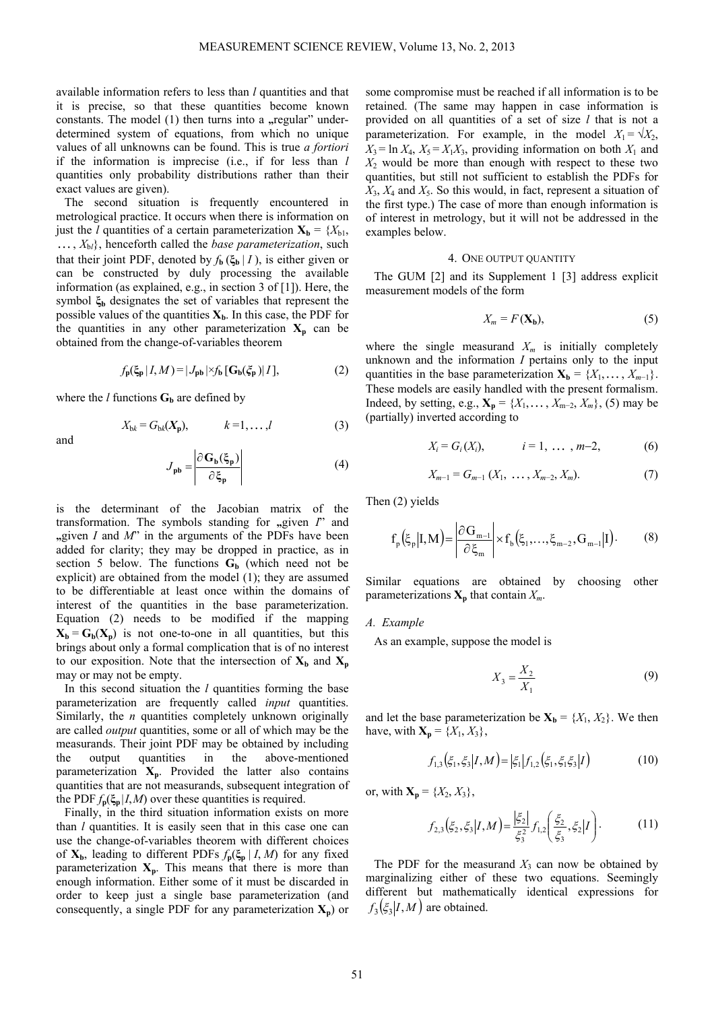available information refers to less than *l* quantities and that it is precise, so that these quantities become known constants. The model (1) then turns into a **"**regular" underdetermined system of equations, from which no unique values of all unknowns can be found. This is true *a fortiori* if the information is imprecise (i.e., if for less than *l* quantities only probability distributions rather than their exact values are given).

The second situation is frequently encountered in metrological practice. It occurs when there is information on just the *l* quantities of a certain parameterization  $X_b = \{X_{b1},$  $K_{\text{b}}$ , henceforth called the *base parameterization*, such that their joint PDF, denoted by  $f_{\bf{b}}(\xi_{\bf{b}} | I)$ , is either given or can be constructed by duly processing the available information (as explained, e.g., in section 3 of [1]). Here, the symbol **ξb** designates the set of variables that represent the possible values of the quantities  $X_b$ . In this case, the PDF for the quantities in any other parameterization  $X_p$  can be obtained from the change-of-variables theorem

$$
f_{\mathbf{p}}(\xi_{\mathbf{p}}|I,M) = |J_{\mathbf{p}\mathbf{b}}| \times f_{\mathbf{b}} [\mathbf{G}_{\mathbf{b}}(\xi_{\mathbf{p}})|I], \tag{2}
$$

where the *l* functions  $G_b$  are defined by

$$
X_{\mathbf{b}k} = G_{\mathbf{b}k}(\mathbf{X}_{\mathbf{p}}), \qquad k = 1, \ldots, l \tag{3}
$$

and

$$
J_{\rm pb} = \frac{\left| \partial G_{\rm b}(\xi_{\rm p}) \right|}{\partial \xi_{\rm p}}
$$
 (4)

is the determinant of the Jacobian matrix of the transformation. The symbols standing for **"**, given *I*" and  $\mu$ given *I* and *M*" in the arguments of the PDFs have been added for clarity; they may be dropped in practice, as in section 5 below. The functions  $G_b$  (which need not be explicit) are obtained from the model (1); they are assumed to be differentiable at least once within the domains of interest of the quantities in the base parameterization. Equation (2) needs to be modified if the mapping  $X_b = G_b(X_a)$  is not one-to-one in all quantities, but this brings about only a formal complication that is of no interest to our exposition. Note that the intersection of  $X_b$  and  $X_p$ may or may not be empty.

In this second situation the *l* quantities forming the base parameterization are frequently called *input* quantities. Similarly, the *n* quantities completely unknown originally are called *output* quantities, some or all of which may be the measurands. Their joint PDF may be obtained by including the output quantities in the above-mentioned parameterization  $X_p$ . Provided the latter also contains quantities that are not measurands, subsequent integration of the PDF  $f_p(\xi_p | I, M)$  over these quantities is required.

Finally, in the third situation information exists on more than *l* quantities. It is easily seen that in this case one can use the change-of-variables theorem with different choices of  $X_b$ , leading to different PDFs  $f_p(\xi_p | I, M)$  for any fixed parameterization  $X_p$ . This means that there is more than enough information. Either some of it must be discarded in order to keep just a single base parameterization (and consequently, a single PDF for any parameterization  $X_p$ ) or

some compromise must be reached if all information is to be retained. (The same may happen in case information is provided on all quantities of a set of size *l* that is not a parameterization. For example, in the model  $X_1 = \sqrt{X_2}$ ,  $X_3 = \ln X_4$ ,  $X_5 = X_1 X_3$ , providing information on both  $X_1$  and *X*2 would be more than enough with respect to these two quantities, but still not sufficient to establish the PDFs for  $X_3$ ,  $X_4$  and  $X_5$ . So this would, in fact, represent a situation of the first type.) The case of more than enough information is of interest in metrology, but it will not be addressed in the examples below.

#### 4. ONE OUTPUT QUANTITY

The GUM [2] and its Supplement 1 [3] address explicit measurement models of the form

$$
X_m = F(\mathbf{X_b}),\tag{5}
$$

where the single measurand  $X_m$  is initially completely unknown and the information *I* pertains only to the input quantities in the base parameterization  $X_b = \{X_1, \ldots, X_{m-1}\}.$ These models are easily handled with the present formalism. Indeed, by setting, e.g.,  $\mathbf{X}_p = \{X_1, \dots, X_{m-2}, X_m\}$ , (5) may be (partially) inverted according to

$$
X_i = G_i(X_i), \t i = 1, ..., m-2,
$$
 (6)

$$
X_{m-1} = G_{m-1} (X_1, \ldots, X_{m-2}, X_m).
$$
 (7)

Then (2) yields

$$
f_p(\xi_p|I,M) = \left| \frac{\partial G_{m-1}}{\partial \xi_m} \right| \times f_b(\xi_1,\ldots,\xi_{m-2},G_{m-1}|I). \tag{8}
$$

Similar equations are obtained by choosing other parameterizations  $\mathbf{X}_p$  that contain  $X_m$ .

### *A. Example*

As an example, suppose the model is

$$
X_3 = \frac{X_2}{X_1} \tag{9}
$$

and let the base parameterization be  $X_b = \{X_1, X_2\}$ . We then have, with  $\mathbf{X}_n = \{X_1, X_3\}$ ,

$$
f_{1,3}\left(\xi_1,\xi_3\big|I,M\right) = \left|\xi_1\right|f_{1,2}\left(\xi_1,\xi_1\xi_3\big|I\right) \tag{10}
$$

or, with  $X_p = \{X_2, X_3\}$ ,

$$
f_{2,3}(\xi_2, \xi_3 | I, M) = \frac{|\xi_2|}{\xi_3^2} f_{1,2} \left( \frac{\xi_2}{\xi_3}, \xi_2 | I \right). \tag{11}
$$

The PDF for the measurand  $X_3$  can now be obtained by marginalizing either of these two equations. Seemingly different but mathematically identical expressions for  $f_3(\xi_3 | I, M)$  are obtained.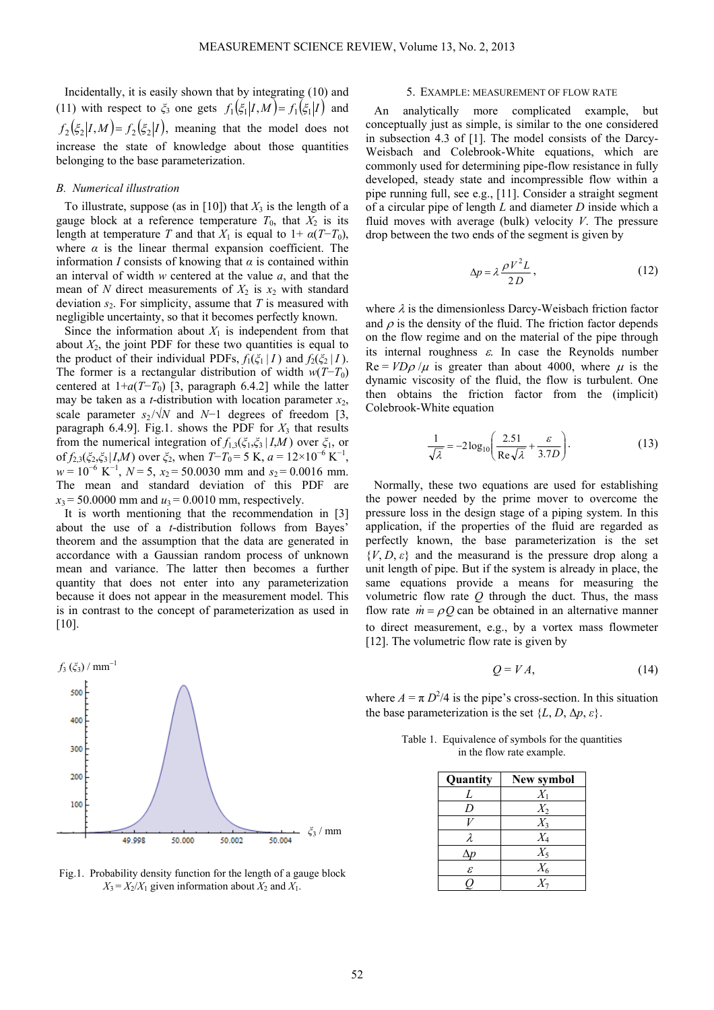Incidentally, it is easily shown that by integrating (10) and (11) with respect to  $\zeta_3$  one gets  $f_1(\zeta_1 | I, M) = f_1(\zeta_1 | I)$  and  $f_2(\xi_2 | I, M) = f_2(\xi_2 | I)$ , meaning that the model does not increase the state of knowledge about those quantities belonging to the base parameterization.

## *B. Numerical illustration*

To illustrate, suppose (as in [10]) that  $X_3$  is the length of a gauge block at a reference temperature  $T_0$ , that  $X_2$  is its length at temperature *T* and that  $X_1$  is equal to  $1 + \alpha(T - T_0)$ , where  $\alpha$  is the linear thermal expansion coefficient. The information *I* consists of knowing that  $\alpha$  is contained within an interval of width *w* centered at the value *a*, and that the mean of *N* direct measurements of  $X_2$  is  $x_2$  with standard deviation *s*2. For simplicity, assume that *T* is measured with negligible uncertainty, so that it becomes perfectly known.

Since the information about  $X_1$  is independent from that about  $X_2$ , the joint PDF for these two quantities is equal to the product of their individual PDFs,  $f_1(\xi_1 | I)$  and  $f_2(\xi_2 | I)$ . The former is a rectangular distribution of width  $w(T-T_0)$ centered at  $1+a(T-T_0)$  [3, paragraph 6.4.2] while the latter may be taken as a *t*-distribution with location parameter  $x_2$ , scale parameter  $s_2 / \sqrt{N}$  and  $N-1$  degrees of freedom [3, paragraph 6.4.9]. Fig.1. shows the PDF for  $X_3$  that results from the numerical integration of  $f_{1,3}(\xi_1,\xi_3 | I,M)$  over  $\xi_1$ , or of  $f_{2,3}(\xi_2,\xi_3 | I,M)$  over  $\xi_2$ , when  $T-T_0 = 5$  K,  $a = 12 \times 10^{-6}$  K<sup>-1</sup>,  $w = 10^{-6}$  K<sup>-1</sup>, *N* = 5,  $x_2$  = 50.0030 mm and  $s_2$  = 0.0016 mm. The mean and standard deviation of this PDF are  $x_3$  = 50.0000 mm and  $u_3$  = 0.0010 mm, respectively.

It is worth mentioning that the recommendation in [3] about the use of a *t*-distribution follows from Bayes' theorem and the assumption that the data are generated in accordance with a Gaussian random process of unknown mean and variance. The latter then becomes a further quantity that does not enter into any parameterization because it does not appear in the measurement model. This is in contrast to the concept of parameterization as used in  $[10]$ .



Fig.1. Probability density function for the length of a gauge block  $X_3 = X_2/X_1$  given information about  $X_2$  and  $X_1$ .

#### 5. EXAMPLE: MEASUREMENT OF FLOW RATE

An analytically more complicated example, but conceptually just as simple, is similar to the one considered in subsection 4.3 of [1]. The model consists of the Darcy-Weisbach and Colebrook-White equations, which are commonly used for determining pipe-flow resistance in fully developed, steady state and incompressible flow within a pipe running full, see e.g., [11]. Consider a straight segment of a circular pipe of length *L* and diameter *D* inside which a fluid moves with average (bulk) velocity *V*. The pressure drop between the two ends of the segment is given by

$$
\Delta p = \lambda \frac{\rho V^2 L}{2D},\tag{12}
$$

where  $\lambda$  is the dimensionless Darcy-Weisbach friction factor and  $\rho$  is the density of the fluid. The friction factor depends on the flow regime and on the material of the pipe through its internal roughness  $\varepsilon$ . In case the Reynolds number  $Re = V D \rho / \mu$  is greater than about 4000, where  $\mu$  is the dynamic viscosity of the fluid, the flow is turbulent. One then obtains the friction factor from the (implicit) Colebrook-White equation

$$
\frac{1}{\sqrt{\lambda}} = -2\log_{10}\left(\frac{2.51}{\text{Re}\sqrt{\lambda}} + \frac{\varepsilon}{3.7D}\right). \tag{13}
$$

Normally, these two equations are used for establishing the power needed by the prime mover to overcome the pressure loss in the design stage of a piping system. In this application, if the properties of the fluid are regarded as perfectly known, the base parameterization is the set  $\{V, D, \varepsilon\}$  and the measurand is the pressure drop along a unit length of pipe. But if the system is already in place, the same equations provide a means for measuring the volumetric flow rate *Q* through the duct. Thus, the mass flow rate  $\dot{m} = \rho Q$  can be obtained in an alternative manner to direct measurement, e.g., by a vortex mass flowmeter [12]. The volumetric flow rate is given by

$$
Q = VA,\tag{14}
$$

where  $A = \pi D^2/4$  is the pipe's cross-section. In this situation the base parameterization is the set  $\{L, D, \Delta p, \varepsilon\}.$ 

Table 1. Equivalence of symbols for the quantities in the flow rate example.

| Quantity<br>New symbol |       |  |  |  |  |
|------------------------|-------|--|--|--|--|
| L                      | $X_1$ |  |  |  |  |
| D                      | $X_2$ |  |  |  |  |
|                        | $X_3$ |  |  |  |  |
| λ                      | $X_4$ |  |  |  |  |
| $\Delta p$             | $X_5$ |  |  |  |  |
| $\mathcal E$           | $X_6$ |  |  |  |  |
|                        | X-    |  |  |  |  |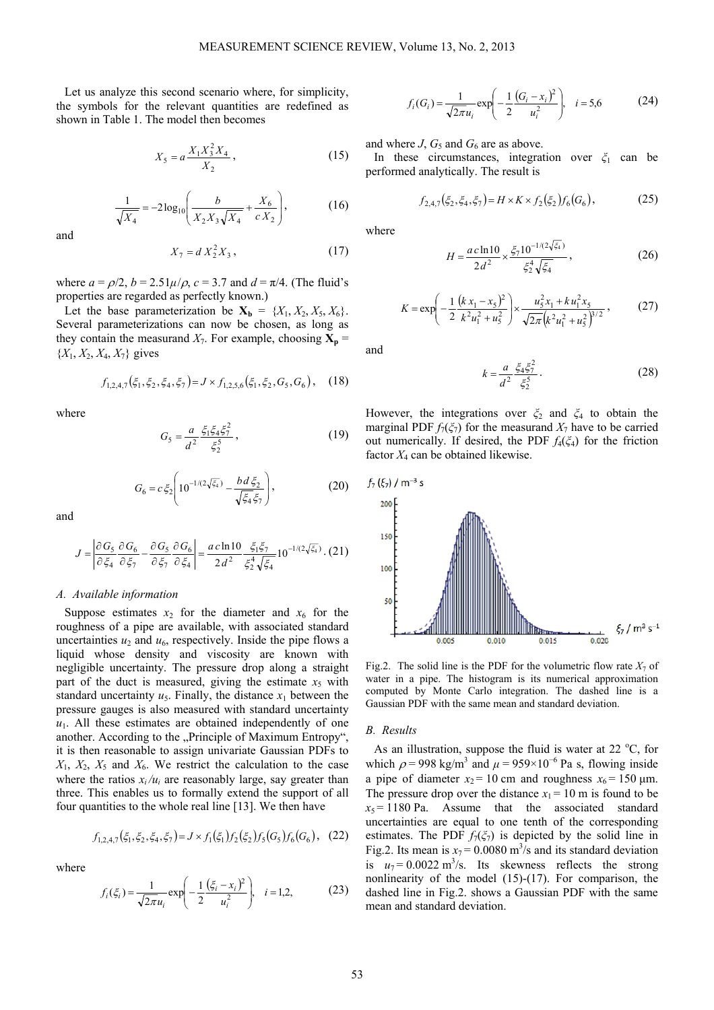Let us analyze this second scenario where, for simplicity, the symbols for the relevant quantities are redefined as shown in Table 1. The model then becomes

$$
X_5 = a \frac{X_1 X_3^2 X_4}{X_2},\tag{15}
$$

$$
\frac{1}{\sqrt{X_4}} = -2\log_{10}\left(\frac{b}{X_2 X_3 \sqrt{X_4}} + \frac{X_6}{c X_2}\right),\tag{16}
$$

and

$$
X_7 = d X_2^2 X_3, \t\t(17)
$$

where  $a = \rho/2$ ,  $b = 2.51\mu/\rho$ ,  $c = 3.7$  and  $d = \pi/4$ . (The fluid's properties are regarded as perfectly known.)

Let the base parameterization be  $X_b = \{X_1, X_2, X_5, X_6\}.$ Several parameterizations can now be chosen, as long as they contain the measurand  $X_7$ . For example, choosing  $X_p =$  ${X_1, X_2, X_4, X_7}$  gives

$$
f_{1,2,4,7}(\xi_1, \xi_2, \xi_4, \xi_7) = J \times f_{1,2,5,6}(\xi_1, \xi_2, G_5, G_6), \quad (18)
$$

where

$$
G_5 = \frac{a}{d^2} \frac{\xi_1 \xi_4 \xi_7^2}{\xi_2^5},\tag{19}
$$

$$
G_6 = c \xi_2 \left( 10^{-1/(2\sqrt{\xi_4})} - \frac{bd \xi_2}{\sqrt{\xi_4 \xi_7}} \right),
$$
 (20)

and

$$
J = \left| \frac{\partial G_5}{\partial \xi_4} \frac{\partial G_6}{\partial \xi_7} - \frac{\partial G_5}{\partial \xi_7} \frac{\partial G_6}{\partial \xi_4} \right| = \frac{ac \ln 10}{2d^2} \frac{\xi_1 \xi_7}{\xi_2^4 \sqrt{\xi_4}} 10^{-1/(2\sqrt{\xi_4})}. (21)
$$

## *A. Available information*

Suppose estimates  $x_2$  for the diameter and  $x_6$  for the roughness of a pipe are available, with associated standard uncertainties  $u_2$  and  $u_6$ , respectively. Inside the pipe flows a liquid whose density and viscosity are known with negligible uncertainty. The pressure drop along a straight part of the duct is measured, giving the estimate  $x<sub>5</sub>$  with standard uncertainty  $u_5$ . Finally, the distance  $x_1$  between the pressure gauges is also measured with standard uncertainty  $u_1$ . All these estimates are obtained independently of one another. According to the "Principle of Maximum Entropy", it is then reasonable to assign univariate Gaussian PDFs to  $X_1, X_2, X_5$  and  $X_6$ . We restrict the calculation to the case where the ratios  $x_i/u_i$  are reasonably large, say greater than three. This enables us to formally extend the support of all four quantities to the whole real line [13]. We then have

$$
f_{1,2,4,7}(\xi_1, \xi_2, \xi_4, \xi_7) = J \times f_1(\xi_1) f_2(\xi_2) f_5(G_5) f_6(G_6), \quad (22)
$$

where

$$
f_i(\xi_i) = \frac{1}{\sqrt{2\pi}u_i} \exp\left(-\frac{1}{2}\frac{(\xi_i - x_i)^2}{u_i^2}\right), \quad i = 1, 2,
$$
 (23)

$$
f_i(G_i) = \frac{1}{\sqrt{2\pi}u_i} \exp\left(-\frac{1}{2}\frac{(G_i - x_i)^2}{u_i^2}\right), \quad i = 5,6
$$
 (24)

and where *J*,  $G_5$  and  $G_6$  are as above.

In these circumstances, integration over *ξ*1 can be performed analytically. The result is

$$
f_{2,4,7}(\xi_2, \xi_4, \xi_7) = H \times K \times f_2(\xi_2) f_6(G_6), \tag{25}
$$

where

$$
H = \frac{ac \ln 10}{2d^2} \times \frac{\xi_7 10^{-1/(2\sqrt{\xi_4})}}{\xi_2^4 \sqrt{\xi_4}},
$$
 (26)

$$
K = \exp\left(-\frac{1}{2}\frac{(k x_1 - x_5)^2}{k^2 u_1^2 + u_5^2}\right) \times \frac{u_5^2 x_1 + k u_1^2 x_5}{\sqrt{2\pi} (k^2 u_1^2 + u_5^2)^{3/2}},
$$
 (27)

and

$$
k = \frac{a}{d^2} \frac{\xi_4 \xi_7^2}{\xi_2^5} \,. \tag{28}
$$

However, the integrations over 
$$
\xi_2
$$
 and  $\xi_4$  to obtain the marginal PDF  $f_7(\xi_7)$  for the measured  $X_7$  have to be carried out numerically. If desired, the PDF  $f_4(\xi_4)$  for the friction factor  $X_4$  can be obtained likewise.



Fig.2. The solid line is the PDF for the volumetric flow rate  $X_7$  of water in a pipe. The histogram is its numerical approximation computed by Monte Carlo integration. The dashed line is a Gaussian PDF with the same mean and standard deviation.

## *B. Results*

As an illustration, suppose the fluid is water at  $22^{\circ}$ C, for which  $\rho$  = 998 kg/m<sup>3</sup> and  $\mu$  = 959×10<sup>-6</sup> Pa s, flowing inside a pipe of diameter  $x_2 = 10$  cm and roughness  $x_6 = 150$  µm. The pressure drop over the distance  $x_1 = 10$  m is found to be  $x_5 = 1180$  Pa. Assume that the associated standard uncertainties are equal to one tenth of the corresponding estimates. The PDF  $f_7(\xi_7)$  is depicted by the solid line in Fig.2. Its mean is  $x_7 = 0.0080$  m<sup>3</sup>/s and its standard deviation is  $u_7 = 0.0022 \text{ m}^3/\text{s}$ . Its skewness reflects the strong nonlinearity of the model (15)-(17). For comparison, the dashed line in Fig.2. shows a Gaussian PDF with the same mean and standard deviation.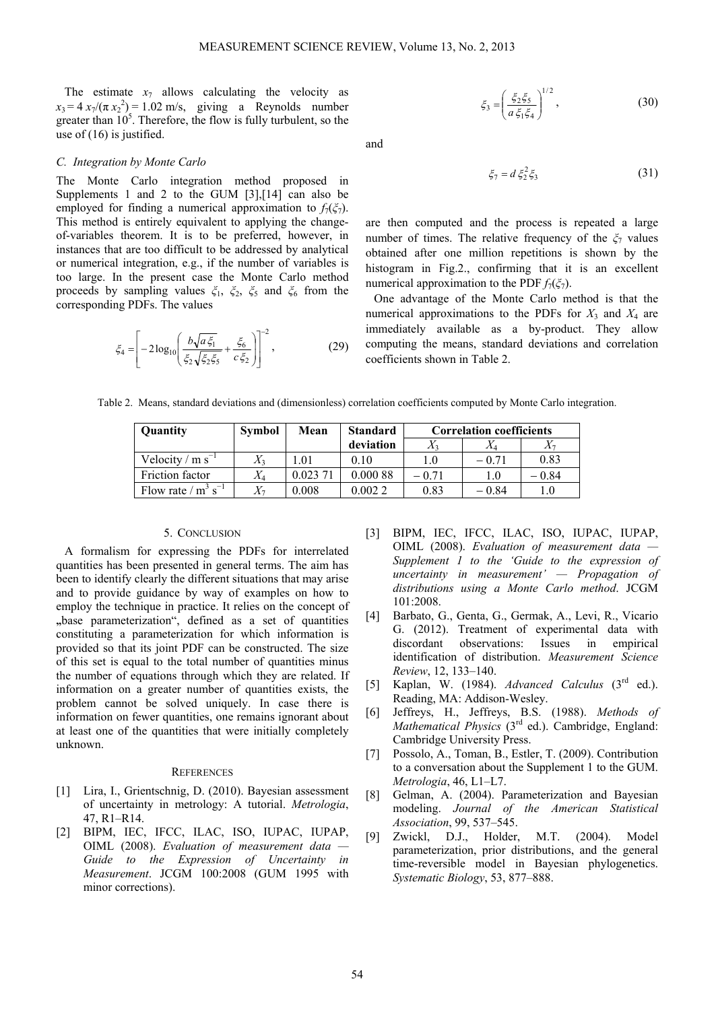The estimate  $x_7$  allows calculating the velocity as  $x_3 = 4 x_7/(\pi x_2^2) = 1.02$  m/s, giving a Reynolds number greater than  $10<sup>5</sup>$ . Therefore, the flow is fully turbulent, so the use of  $(16)$  is justified.

## *C. Integration by Monte Carlo*

The Monte Carlo integration method proposed in Supplements 1 and 2 to the GUM [3],[14] can also be employed for finding a numerical approximation to  $f_7(\xi_7)$ . This method is entirely equivalent to applying the changeof-variables theorem. It is to be preferred, however, in instances that are too difficult to be addressed by analytical or numerical integration, e.g., if the number of variables is too large. In the present case the Monte Carlo method proceeds by sampling values *ξ*1, *ξ*2, *ξ*5 and *ξ*6 from the corresponding PDFs. The values

$$
\xi_4 = \left[ -2\log_{10} \left( \frac{b\sqrt{a\,\xi_1}}{\xi_2\sqrt{\xi_2\,\xi_5}} + \frac{\xi_6}{c\,\xi_2} \right) \right]^{-2},\tag{29}
$$

$$
\xi_3 = \left(\frac{\xi_2 \xi_5}{a \xi_1 \xi_4}\right)^{1/2},\tag{30}
$$

and

$$
\xi_7 = d \xi_2^2 \xi_3 \tag{31}
$$

are then computed and the process is repeated a large number of times. The relative frequency of the  $\zeta_7$  values obtained after one million repetitions is shown by the histogram in Fig.2., confirming that it is an excellent numerical approximation to the PDF  $f_7(\xi_7)$ .

One advantage of the Monte Carlo method is that the numerical approximations to the PDFs for  $X_3$  and  $X_4$  are immediately available as a by-product. They allow computing the means, standard deviations and correlation coefficients shown in Table 2.

| Table 2. Means, standard deviations and (dimensionless) correlation coefficients computed by Monte Carlo integration. |
|-----------------------------------------------------------------------------------------------------------------------|
|-----------------------------------------------------------------------------------------------------------------------|

| Quantity                          | <b>Symbol</b> | Mean     | <b>Standard</b> | <b>Correlation coefficients</b> |                        |        |
|-----------------------------------|---------------|----------|-----------------|---------------------------------|------------------------|--------|
|                                   |               |          | deviation       |                                 | $\it \Lambda_{\Delta}$ |        |
| Velocity / $m s^{-1}$             |               | .01      | 0.10            | .0                              | $-0.71$                | 0.83   |
| Friction factor                   | $X_{4}$       | 0.023 71 | 0.000 88        | – 0 71                          | 1.0                    | – 0.84 |
| Flow rate / $m^3$ s <sup>-1</sup> |               | 0.008    | 0.0022          | 0.83                            | $-0.84$                |        |

## 5. CONCLUSION

A formalism for expressing the PDFs for interrelated quantities has been presented in general terms. The aim has been to identify clearly the different situations that may arise and to provide guidance by way of examples on how to employ the technique in practice. It relies on the concept of **"**base parameterization", defined as a set of quantities constituting a parameterization for which information is provided so that its joint PDF can be constructed. The size of this set is equal to the total number of quantities minus the number of equations through which they are related. If information on a greater number of quantities exists, the problem cannot be solved uniquely. In case there is information on fewer quantities, one remains ignorant about at least one of the quantities that were initially completely unknown.

#### **REFERENCES**

- [1] Lira, I., Grientschnig, D. (2010). Bayesian assessment of uncertainty in metrology: A tutorial. *Metrologia*, 47, R1–R14.
- [2] BIPM, IEC, IFCC, ILAC, ISO, IUPAC, IUPAP, OIML (2008). *Evaluation of measurement data — Guide to the Expression of Uncertainty in Measurement*. JCGM 100:2008 (GUM 1995 with minor corrections).
- [3] BIPM, IEC, IFCC, ILAC, ISO, IUPAC, IUPAP, OIML (2008). *Evaluation of measurement data — Supplement 1 to the 'Guide to the expression of uncertainty in measurement' — Propagation of distributions using a Monte Carlo method*. JCGM 101:2008.
- [4] Barbato, G., Genta, G., Germak, A., Levi, R., Vicario G. (2012). Treatment of experimental data with discordant observations: Issues in empirical identification of distribution. *Measurement Science Review*, 12, 133–140.
- [5] Kaplan, W. (1984). *Advanced Calculus* (3rd ed.). Reading, MA: Addison-Wesley.
- [6] Jeffreys, H., Jeffreys, B.S. (1988). *Methods of Mathematical Physics* (3rd ed.). Cambridge, England: Cambridge University Press.
- [7] Possolo, A., Toman, B., Estler, T. (2009). Contribution to a conversation about the Supplement 1 to the GUM. *Metrologia*, 46, L1–L7.
- [8] Gelman, A. (2004). Parameterization and Bayesian modeling. *Journal of the American Statistical Association*, 99, 537–545.
- [9] Zwickl, D.J., Holder, M.T. (2004). Model parameterization, prior distributions, and the general time-reversible model in Bayesian phylogenetics. *Systematic Biology*, 53, 877–888.